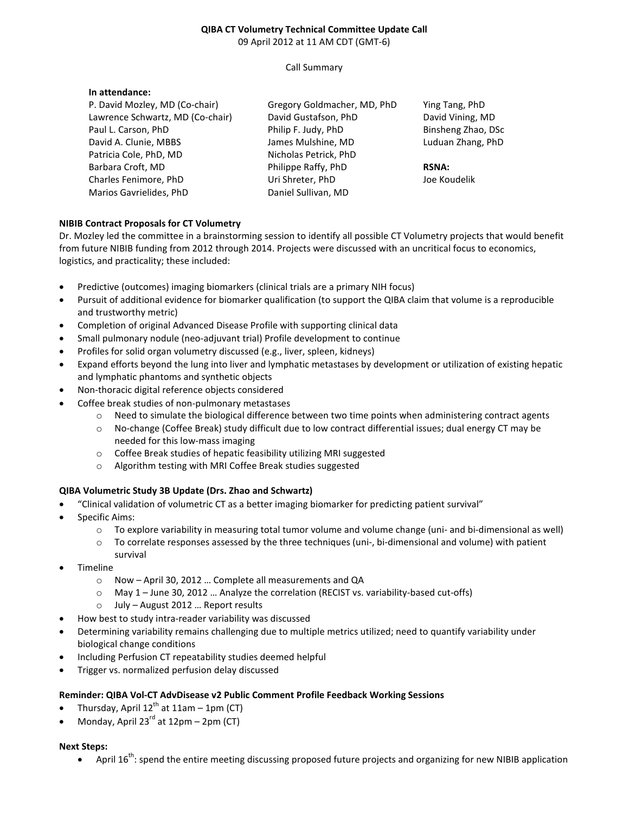### **QIBA CT Volumetry Technical Committee Update Call**  09 April 2012 at 11 AM CDT (GMT-6)

Call Summary

#### **In attendance:**

P. David Mozley, MD (Co-chair) Lawrence Schwartz, MD (Co-chair) Paul L. Carson, PhD David A. Clunie, MBBS Patricia Cole, PhD, MD Barbara Croft, MD Charles Fenimore, PhD Marios Gavrielides, PhD

Gregory Goldmacher, MD, PhD David Gustafson, PhD Philip F. Judy, PhD James Mulshine, MD Nicholas Petrick, PhD Philippe Raffy, PhD Uri Shreter, PhD Daniel Sullivan, MD

Ying Tang, PhD David Vining, MD Binsheng Zhao, DSc Luduan Zhang, PhD

### **RSNA:**

Joe Koudelik

# **NIBIB Contract Proposals for CT Volumetry**

Dr. Mozley led the committee in a brainstorming session to identify all possible CT Volumetry projects that would benefit from future NIBIB funding from 2012 through 2014. Projects were discussed with an uncritical focus to economics, logistics, and practicality; these included:

- Predictive (outcomes) imaging biomarkers (clinical trials are a primary NIH focus)
- Pursuit of additional evidence for biomarker qualification (to support the QIBA claim that volume is a reproducible and trustworthy metric)
- Completion of original Advanced Disease Profile with supporting clinical data
- Small pulmonary nodule (neo-adjuvant trial) Profile development to continue
- Profiles for solid organ volumetry discussed (e.g., liver, spleen, kidneys)
- Expand efforts beyond the lung into liver and lymphatic metastases by development or utilization of existing hepatic and lymphatic phantoms and synthetic objects
- Non-thoracic digital reference objects considered
- Coffee break studies of non-pulmonary metastases
	- o Need to simulate the biological difference between two time points when administering contract agents
	- o No-change (Coffee Break) study difficult due to low contract differential issues; dual energy CT may be needed for this low-mass imaging
	- o Coffee Break studies of hepatic feasibility utilizing MRI suggested
	- o Algorithm testing with MRI Coffee Break studies suggested

# **QIBA Volumetric Study 3B Update (Drs. Zhao and Schwartz)**

- "Clinical validation of volumetric CT as a better imaging biomarker for predicting patient survival"
- Specific Aims:
	- o To explore variability in measuring total tumor volume and volume change (uni- and bi-dimensional as well)
	- o To correlate responses assessed by the three techniques (uni-, bi-dimensional and volume) with patient survival
- **Timeline** 
	- o Now April 30, 2012 … Complete all measurements and QA
	- o May 1 June 30, 2012 … Analyze the correlation (RECIST vs. variability-based cut-offs)
	- o July August 2012 … Report results
- How best to study intra-reader variability was discussed
- Determining variability remains challenging due to multiple metrics utilized; need to quantify variability under biological change conditions
- Including Perfusion CT repeatability studies deemed helpful
- Trigger vs. normalized perfusion delay discussed

# **Reminder: QIBA Vol-CT AdvDisease v2 Public Comment Profile Feedback Working Sessions**

- Thursday, April  $12^{th}$  at 11am 1pm (CT)
- Monday, April  $23<sup>rd</sup>$  at  $12pm 2pm$  (CT)

#### **Next Steps:**

April  $16^{th}$ : spend the entire meeting discussing proposed future projects and organizing for new NIBIB application